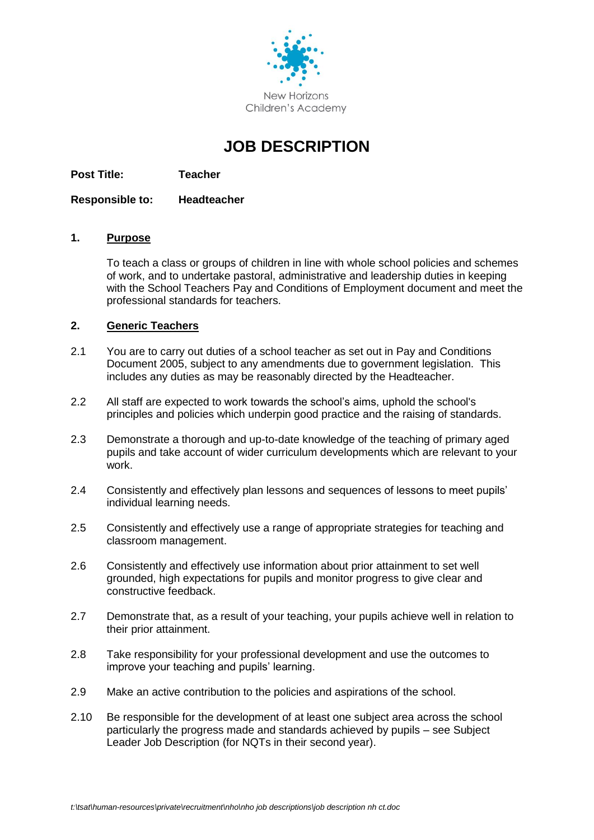

# **JOB DESCRIPTION**

**Post Title: Teacher**

**Responsible to: Headteacher**

## **1. Purpose**

To teach a class or groups of children in line with whole school policies and schemes of work, and to undertake pastoral, administrative and leadership duties in keeping with the School Teachers Pay and Conditions of Employment document and meet the professional standards for teachers.

# **2. Generic Teachers**

- 2.1 You are to carry out duties of a school teacher as set out in Pay and Conditions Document 2005, subject to any amendments due to government legislation. This includes any duties as may be reasonably directed by the Headteacher.
- 2.2 All staff are expected to work towards the school's aims, uphold the school's principles and policies which underpin good practice and the raising of standards.
- 2.3 Demonstrate a thorough and up-to-date knowledge of the teaching of primary aged pupils and take account of wider curriculum developments which are relevant to your work.
- 2.4 Consistently and effectively plan lessons and sequences of lessons to meet pupils' individual learning needs.
- 2.5 Consistently and effectively use a range of appropriate strategies for teaching and classroom management.
- 2.6 Consistently and effectively use information about prior attainment to set well grounded, high expectations for pupils and monitor progress to give clear and constructive feedback.
- 2.7 Demonstrate that, as a result of your teaching, your pupils achieve well in relation to their prior attainment.
- 2.8 Take responsibility for your professional development and use the outcomes to improve your teaching and pupils' learning.
- 2.9 Make an active contribution to the policies and aspirations of the school.
- 2.10 Be responsible for the development of at least one subject area across the school particularly the progress made and standards achieved by pupils – see Subject Leader Job Description (for NQTs in their second year).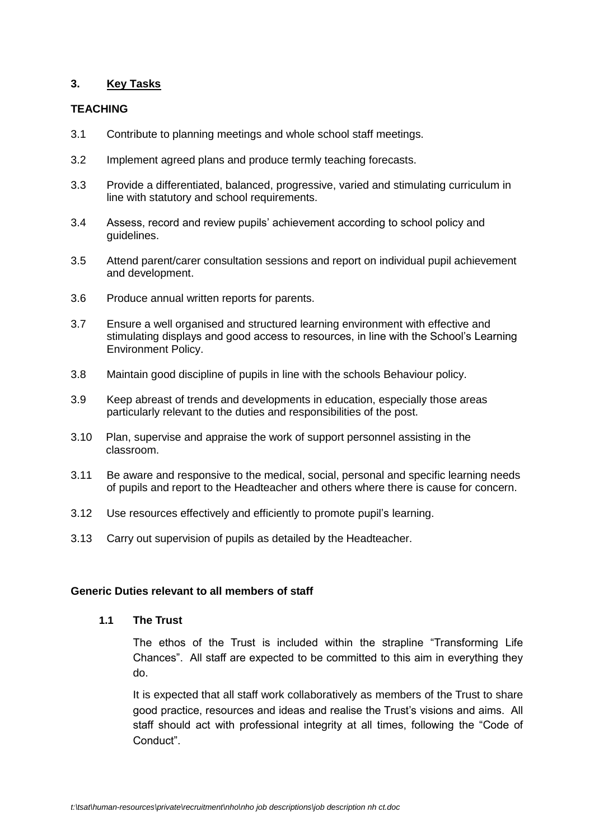## **3. Key Tasks**

## **TEACHING**

- 3.1 Contribute to planning meetings and whole school staff meetings.
- 3.2 Implement agreed plans and produce termly teaching forecasts.
- 3.3 Provide a differentiated, balanced, progressive, varied and stimulating curriculum in line with statutory and school requirements.
- 3.4 Assess, record and review pupils' achievement according to school policy and guidelines.
- 3.5 Attend parent/carer consultation sessions and report on individual pupil achievement and development.
- 3.6 Produce annual written reports for parents.
- 3.7 Ensure a well organised and structured learning environment with effective and stimulating displays and good access to resources, in line with the School's Learning Environment Policy.
- 3.8 Maintain good discipline of pupils in line with the schools Behaviour policy.
- 3.9 Keep abreast of trends and developments in education, especially those areas particularly relevant to the duties and responsibilities of the post.
- 3.10 Plan, supervise and appraise the work of support personnel assisting in the classroom.
- 3.11 Be aware and responsive to the medical, social, personal and specific learning needs of pupils and report to the Headteacher and others where there is cause for concern.
- 3.12 Use resources effectively and efficiently to promote pupil's learning.
- 3.13 Carry out supervision of pupils as detailed by the Headteacher.

## **Generic Duties relevant to all members of staff**

#### **1.1 The Trust**

The ethos of the Trust is included within the strapline "Transforming Life Chances". All staff are expected to be committed to this aim in everything they do.

It is expected that all staff work collaboratively as members of the Trust to share good practice, resources and ideas and realise the Trust's visions and aims. All staff should act with professional integrity at all times, following the "Code of Conduct".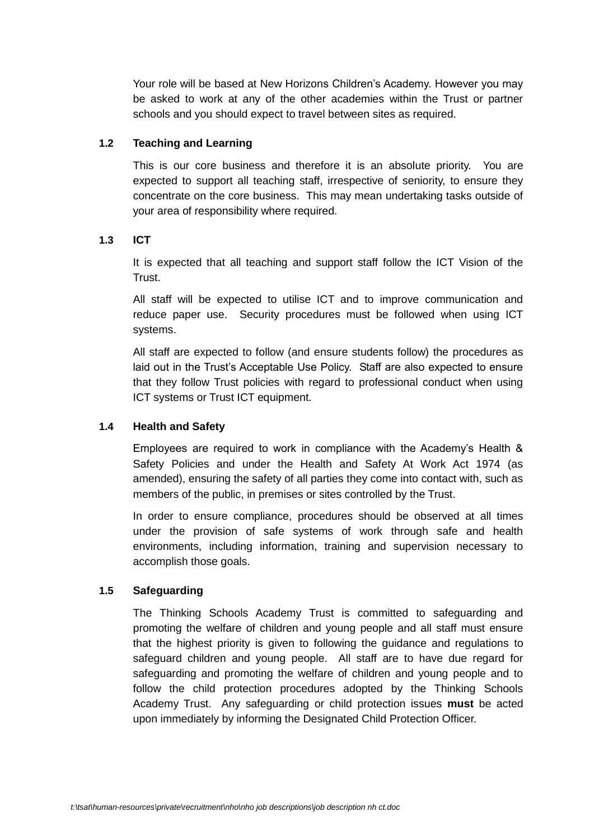Your role will be based at New Horizons Children's Academy. However you may be asked to work at any of the other academies within the Trust or partner schools and you should expect to travel between sites as required.

# **1.2 Teaching and Learning**

This is our core business and therefore it is an absolute priority. You are expected to support all teaching staff, irrespective of seniority, to ensure they concentrate on the core business. This may mean undertaking tasks outside of your area of responsibility where required.

## **1.3 ICT**

It is expected that all teaching and support staff follow the ICT Vision of the Trust.

All staff will be expected to utilise ICT and to improve communication and reduce paper use. Security procedures must be followed when using ICT systems.

All staff are expected to follow (and ensure students follow) the procedures as laid out in the Trust's Acceptable Use Policy. Staff are also expected to ensure that they follow Trust policies with regard to professional conduct when using ICT systems or Trust ICT equipment.

## **1.4 Health and Safety**

Employees are required to work in compliance with the Academy's Health & Safety Policies and under the Health and Safety At Work Act 1974 (as amended), ensuring the safety of all parties they come into contact with, such as members of the public, in premises or sites controlled by the Trust.

In order to ensure compliance, procedures should be observed at all times under the provision of safe systems of work through safe and health environments, including information, training and supervision necessary to accomplish those goals.

## **1.5 Safeguarding**

The Thinking Schools Academy Trust is committed to safeguarding and promoting the welfare of children and young people and all staff must ensure that the highest priority is given to following the guidance and regulations to safeguard children and young people. All staff are to have due regard for safeguarding and promoting the welfare of children and young people and to follow the child protection procedures adopted by the Thinking Schools Academy Trust. Any safeguarding or child protection issues **must** be acted upon immediately by informing the Designated Child Protection Officer.